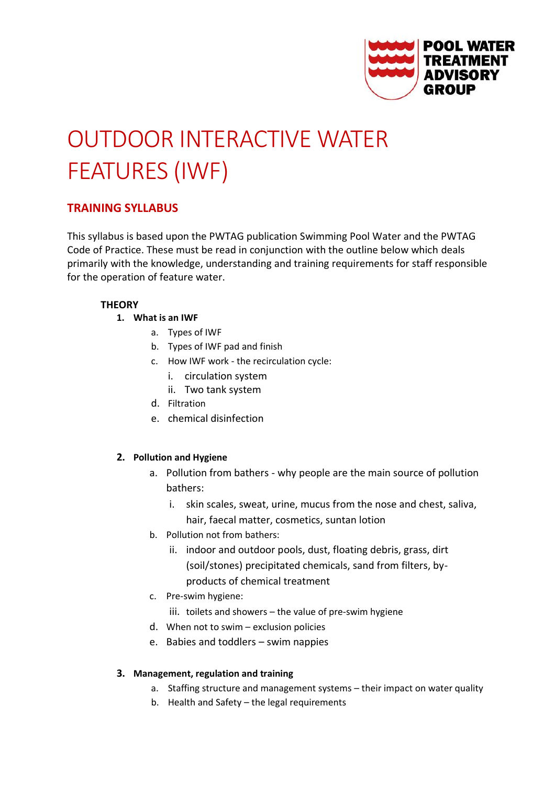

# OUTDOOR INTERACTIVE WATER FEATURES (IWF)

# **TRAINING SYLLABUS**

This syllabus is based upon the PWTAG publication Swimming Pool Water and the PWTAG Code of Practice. These must be read in conjunction with the outline below which deals primarily with the knowledge, understanding and training requirements for staff responsible for the operation of feature water.

# **THEORY**

- **1. What is an IWF**
	- a. Types of IWF
	- b. Types of IWF pad and finish
	- c. How IWF work the recirculation cycle:
		- i. circulation system
		- ii. Two tank system
	- d. Filtration
	- e. chemical disinfection

# **2. Pollution and Hygiene**

- a. Pollution from bathers why people are the main source of pollution bathers:
	- i. skin scales, sweat, urine, mucus from the nose and chest, saliva,
	- hair, faecal matter, cosmetics, suntan lotion
- b. Pollution not from bathers:
	- ii. indoor and outdoor pools, dust, floating debris, grass, dirt (soil/stones) precipitated chemicals, sand from filters, byproducts of chemical treatment
- c. Pre-swim hygiene:
	- iii. toilets and showers the value of pre-swim hygiene
- d. When not to swim exclusion policies
- e. Babies and toddlers swim nappies

# **3. Management, regulation and training**

- a. Staffing structure and management systems their impact on water quality
- b. Health and Safety the legal requirements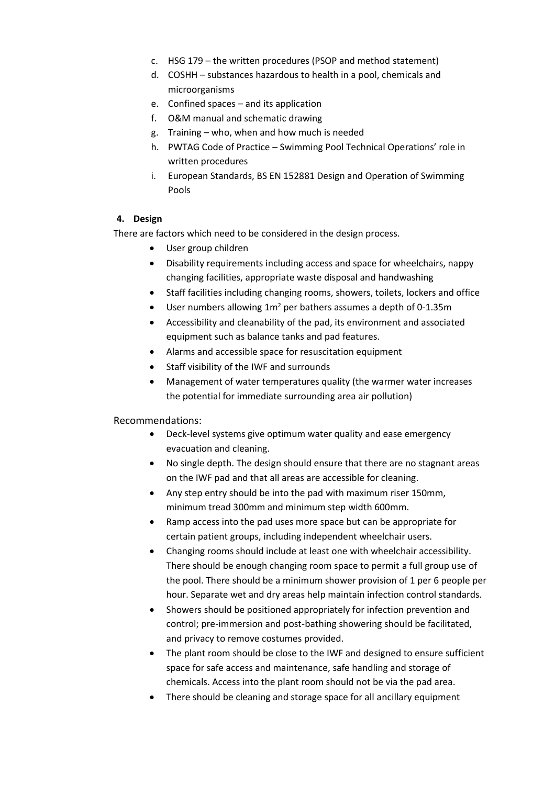- c. HSG 179 the written procedures (PSOP and method statement)
- d. COSHH substances hazardous to health in a pool, chemicals and microorganisms
- e. Confined spaces and its application
- f. O&M manual and schematic drawing
- g. Training who, when and how much is needed
- h. PWTAG Code of Practice Swimming Pool Technical Operations' role in written procedures
- i. European Standards, BS EN 152881 Design and Operation of Swimming Pools

### **4. Design**

There are factors which need to be considered in the design process.

- User group children
- Disability requirements including access and space for wheelchairs, nappy changing facilities, appropriate waste disposal and handwashing
- Staff facilities including changing rooms, showers, toilets, lockers and office
- User numbers allowing  $1m^2$  per bathers assumes a depth of 0-1.35m
- Accessibility and cleanability of the pad, its environment and associated equipment such as balance tanks and pad features.
- Alarms and accessible space for resuscitation equipment
- Staff visibility of the IWF and surrounds
- Management of water temperatures quality (the warmer water increases the potential for immediate surrounding area air pollution)

# Recommendations:

- Deck-level systems give optimum water quality and ease emergency evacuation and cleaning.
- No single depth. The design should ensure that there are no stagnant areas on the IWF pad and that all areas are accessible for cleaning.
- Any step entry should be into the pad with maximum riser 150mm, minimum tread 300mm and minimum step width 600mm.
- Ramp access into the pad uses more space but can be appropriate for certain patient groups, including independent wheelchair users.
- Changing rooms should include at least one with wheelchair accessibility. There should be enough changing room space to permit a full group use of the pool. There should be a minimum shower provision of 1 per 6 people per hour. Separate wet and dry areas help maintain infection control standards.
- Showers should be positioned appropriately for infection prevention and control; pre-immersion and post-bathing showering should be facilitated, and privacy to remove costumes provided.
- The plant room should be close to the IWF and designed to ensure sufficient space for safe access and maintenance, safe handling and storage of chemicals. Access into the plant room should not be via the pad area.
- There should be cleaning and storage space for all ancillary equipment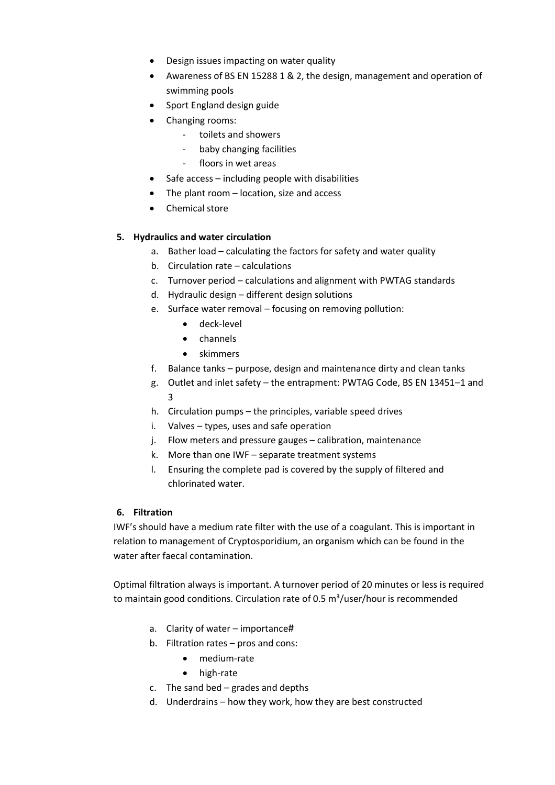- Design issues impacting on water quality
- Awareness of BS EN 15288 1 & 2, the design, management and operation of swimming pools
- Sport England design guide
- Changing rooms:
	- toilets and showers
	- baby changing facilities
	- floors in wet areas
- Safe access including people with disabilities
- The plant room location, size and access
- Chemical store

# **5. Hydraulics and water circulation**

- a. Bather load calculating the factors for safety and water quality
- b. Circulation rate calculations
- c. Turnover period calculations and alignment with PWTAG standards
- d. Hydraulic design different design solutions
- e. Surface water removal focusing on removing pollution:
	- deck-level
		- channels
		- skimmers
- f. Balance tanks purpose, design and maintenance dirty and clean tanks
- g. Outlet and inlet safety the entrapment: PWTAG Code, BS EN 13451–1 and 3
- h. Circulation pumps the principles, variable speed drives
- i. Valves types, uses and safe operation
- j. Flow meters and pressure gauges calibration, maintenance
- k. More than one IWF separate treatment systems
- l. Ensuring the complete pad is covered by the supply of filtered and chlorinated water.

#### **6. Filtration**

IWF's should have a medium rate filter with the use of a coagulant. This is important in relation to management of Cryptosporidium, an organism which can be found in the water after faecal contamination.

Optimal filtration always is important. A turnover period of 20 minutes or less is required to maintain good conditions. Circulation rate of 0.5  $\text{m}^3$ /user/hour is recommended

- a. Clarity of water importance#
- b. Filtration rates pros and cons:
	- medium-rate
	- high-rate
- c. The sand bed grades and depths
- d. Underdrains how they work, how they are best constructed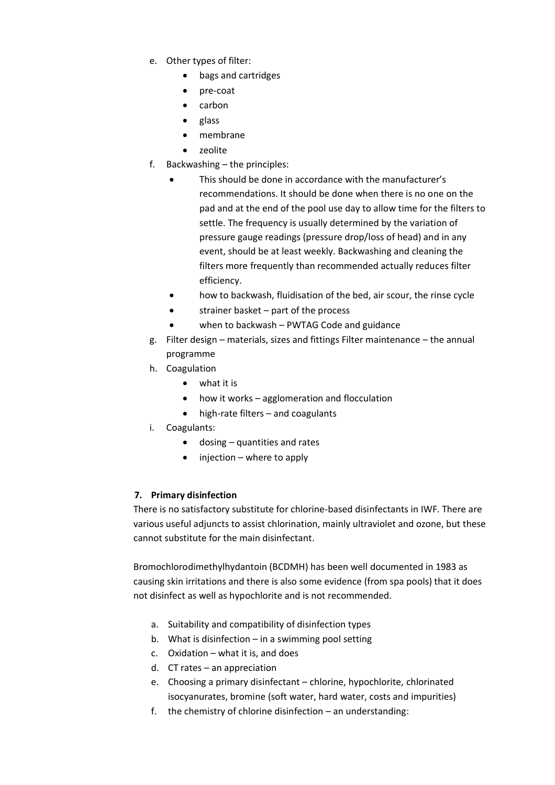- e. Other types of filter:
	- bags and cartridges
	- pre-coat
	- carbon
	- glass
	- membrane
	- zeolite
- f. Backwashing the principles:
	- This should be done in accordance with the manufacturer's recommendations. It should be done when there is no one on the pad and at the end of the pool use day to allow time for the filters to settle. The frequency is usually determined by the variation of pressure gauge readings (pressure drop/loss of head) and in any event, should be at least weekly. Backwashing and cleaning the filters more frequently than recommended actually reduces filter efficiency.
	- how to backwash, fluidisation of the bed, air scour, the rinse cycle
	- strainer basket part of the process
	- when to backwash PWTAG Code and guidance
- g. Filter design materials, sizes and fittings Filter maintenance the annual programme
- h. Coagulation
	- what it is
	- how it works agglomeration and flocculation
	- high-rate filters and coagulants
- i. Coagulants:
	- dosing quantities and rates
	- injection where to apply

# **7. Primary disinfection**

There is no satisfactory substitute for chlorine-based disinfectants in IWF. There are various useful adjuncts to assist chlorination, mainly ultraviolet and ozone, but these cannot substitute for the main disinfectant.

Bromochlorodimethylhydantoin (BCDMH) has been well documented in 1983 as causing skin irritations and there is also some evidence (from spa pools) that it does not disinfect as well as hypochlorite and is not recommended.

- a. Suitability and compatibility of disinfection types
- b. What is disinfection  $-$  in a swimming pool setting
- c. Oxidation what it is, and does
- d. CT rates an appreciation
- e. Choosing a primary disinfectant chlorine, hypochlorite, chlorinated isocyanurates, bromine (soft water, hard water, costs and impurities)
- f. the chemistry of chlorine disinfection an understanding: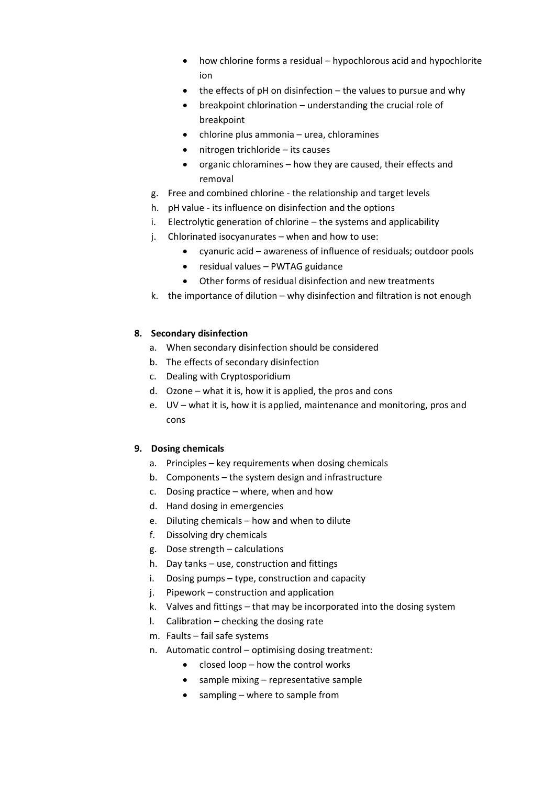- how chlorine forms a residual hypochlorous acid and hypochlorite ion
- $\bullet$  the effects of pH on disinfection the values to pursue and why
- breakpoint chlorination understanding the crucial role of breakpoint
- chlorine plus ammonia urea, chloramines
- nitrogen trichloride its causes
- organic chloramines how they are caused, their effects and removal
- g. Free and combined chlorine the relationship and target levels
- h. pH value its influence on disinfection and the options
- i. Electrolytic generation of chlorine the systems and applicability
- j. Chlorinated isocyanurates when and how to use:
	- cyanuric acid awareness of influence of residuals; outdoor pools
	- residual values PWTAG guidance
	- Other forms of residual disinfection and new treatments
- k. the importance of dilution why disinfection and filtration is not enough

# **8. Secondary disinfection**

- a. When secondary disinfection should be considered
- b. The effects of secondary disinfection
- c. Dealing with Cryptosporidium
- d. Ozone what it is, how it is applied, the pros and cons
- e. UV what it is, how it is applied, maintenance and monitoring, pros and cons

# **9. Dosing chemicals**

- a. Principles key requirements when dosing chemicals
- b. Components the system design and infrastructure
- c. Dosing practice where, when and how
- d. Hand dosing in emergencies
- e. Diluting chemicals how and when to dilute
- f. Dissolving dry chemicals
- g. Dose strength calculations
- h. Day tanks use, construction and fittings
- i. Dosing pumps type, construction and capacity
- j. Pipework construction and application
- k. Valves and fittings that may be incorporated into the dosing system
- l. Calibration checking the dosing rate
- m. Faults fail safe systems
- n. Automatic control optimising dosing treatment:
	- closed loop how the control works
	- sample mixing representative sample
	- sampling where to sample from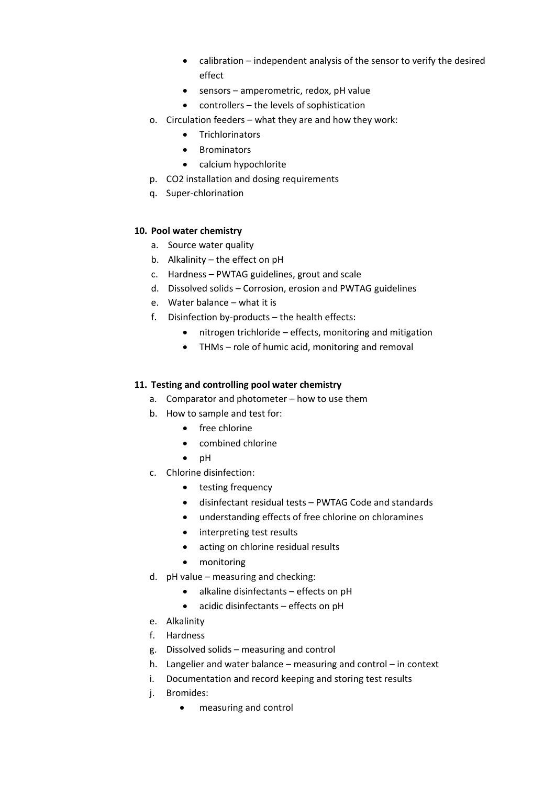- calibration independent analysis of the sensor to verify the desired effect
- sensors amperometric, redox, pH value
- controllers the levels of sophistication
- o. Circulation feeders what they are and how they work:
	- Trichlorinators
	- Brominators
	- calcium hypochlorite
- p. CO2 installation and dosing requirements
- q. Super-chlorination

# **10. Pool water chemistry**

- a. Source water quality
- b. Alkalinity the effect on pH
- c. Hardness PWTAG guidelines, grout and scale
- d. Dissolved solids Corrosion, erosion and PWTAG guidelines
- e. Water balance what it is
- f. Disinfection by-products the health effects:
	- nitrogen trichloride effects, monitoring and mitigation
	- THMs role of humic acid, monitoring and removal

# **11. Testing and controlling pool water chemistry**

- a. Comparator and photometer how to use them
- b. How to sample and test for:
	- free chlorine
	- combined chlorine
	- pH
- c. Chlorine disinfection:
	- testing frequency
	- disinfectant residual tests PWTAG Code and standards
	- understanding effects of free chlorine on chloramines
	- interpreting test results
	- acting on chlorine residual results
	- monitoring
- d. pH value measuring and checking:
	- alkaline disinfectants effects on pH
	- acidic disinfectants effects on pH
- e. Alkalinity
- f. Hardness
- g. Dissolved solids measuring and control
- h. Langelier and water balance measuring and control in context
- i. Documentation and record keeping and storing test results
- j. Bromides:
	- measuring and control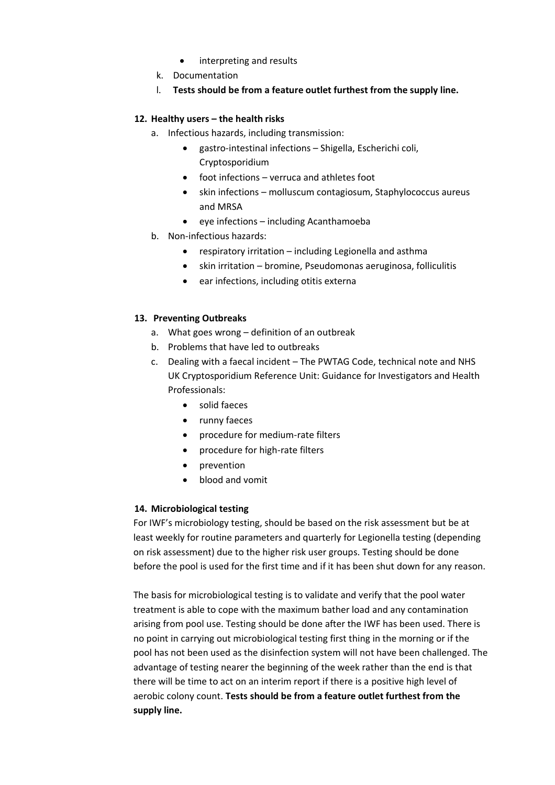- interpreting and results
- k. Documentation
- l. **Tests should be from a feature outlet furthest from the supply line.**

# **12. Healthy users – the health risks**

- a. Infectious hazards, including transmission:
	- gastro-intestinal infections Shigella, Escherichi coli, Cryptosporidium
	- foot infections verruca and athletes foot
	- skin infections molluscum contagiosum, Staphylococcus aureus and MRSA
	- eye infections including Acanthamoeba
- b. Non-infectious hazards:
	- respiratory irritation including Legionella and asthma
	- skin irritation bromine, Pseudomonas aeruginosa, folliculitis
	- ear infections, including otitis externa

# **13. Preventing Outbreaks**

- a. What goes wrong definition of an outbreak
- b. Problems that have led to outbreaks
- c. Dealing with a faecal incident The PWTAG Code, technical note and NHS UK Cryptosporidium Reference Unit: Guidance for Investigators and Health Professionals:
	- solid faeces
	- runny faeces
	- procedure for medium-rate filters
	- procedure for high-rate filters
	- prevention
	- blood and vomit

# **14. Microbiological testing**

For IWF's microbiology testing, should be based on the risk assessment but be at least weekly for routine parameters and quarterly for Legionella testing (depending on risk assessment) due to the higher risk user groups. Testing should be done before the pool is used for the first time and if it has been shut down for any reason.

The basis for microbiological testing is to validate and verify that the pool water treatment is able to cope with the maximum bather load and any contamination arising from pool use. Testing should be done after the IWF has been used. There is no point in carrying out microbiological testing first thing in the morning or if the pool has not been used as the disinfection system will not have been challenged. The advantage of testing nearer the beginning of the week rather than the end is that there will be time to act on an interim report if there is a positive high level of aerobic colony count. **Tests should be from a feature outlet furthest from the supply line.**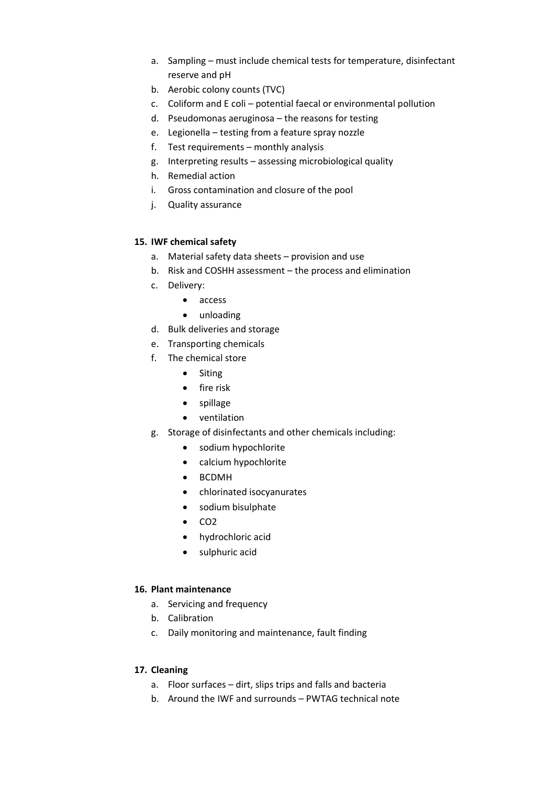- a. Sampling must include chemical tests for temperature, disinfectant reserve and pH
- b. Aerobic colony counts (TVC)
- c. Coliform and E coli potential faecal or environmental pollution
- d. Pseudomonas aeruginosa the reasons for testing
- e. Legionella testing from a feature spray nozzle
- f. Test requirements monthly analysis
- g. Interpreting results assessing microbiological quality
- h. Remedial action
- i. Gross contamination and closure of the pool
- j. Quality assurance

# **15. IWF chemical safety**

- a. Material safety data sheets provision and use
- b. Risk and COSHH assessment the process and elimination
- c. Delivery:
	- access
	- unloading
- d. Bulk deliveries and storage
- e. Transporting chemicals
- f. The chemical store
	- Siting
	- fire risk
	- spillage
	- ventilation
- g. Storage of disinfectants and other chemicals including:
	- sodium hypochlorite
	- calcium hypochlorite
	- BCDMH
	- chlorinated isocyanurates
	- sodium bisulphate
	- CO2
	- hydrochloric acid
	- sulphuric acid

# **16. Plant maintenance**

- a. Servicing and frequency
- b. Calibration
- c. Daily monitoring and maintenance, fault finding

# **17. Cleaning**

- a. Floor surfaces dirt, slips trips and falls and bacteria
- b. Around the IWF and surrounds PWTAG technical note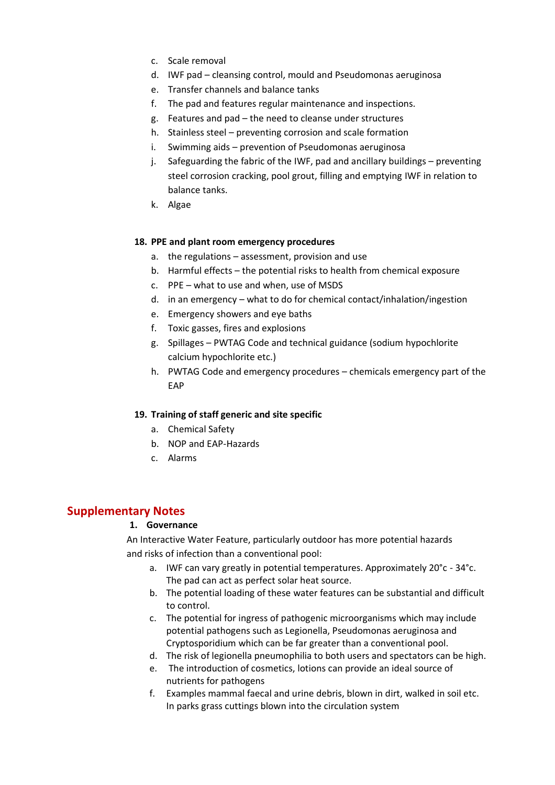- c. Scale removal
- d. IWF pad cleansing control, mould and Pseudomonas aeruginosa
- e. Transfer channels and balance tanks
- f. The pad and features regular maintenance and inspections.
- g. Features and pad the need to cleanse under structures
- h. Stainless steel preventing corrosion and scale formation
- i. Swimming aids prevention of Pseudomonas aeruginosa
- j. Safeguarding the fabric of the IWF, pad and ancillary buildings preventing steel corrosion cracking, pool grout, filling and emptying IWF in relation to balance tanks.
- k. Algae

### **18. PPE and plant room emergency procedures**

- a. the regulations assessment, provision and use
- b. Harmful effects the potential risks to health from chemical exposure
- c. PPE what to use and when, use of MSDS
- d. in an emergency what to do for chemical contact/inhalation/ingestion
- e. Emergency showers and eye baths
- f. Toxic gasses, fires and explosions
- g. Spillages PWTAG Code and technical guidance (sodium hypochlorite calcium hypochlorite etc.)
- h. PWTAG Code and emergency procedures chemicals emergency part of the EAP

# **19. Training of staff generic and site specific**

- a. Chemical Safety
- b. NOP and EAP-Hazards
- c. Alarms

# **Supplementary Notes**

#### **1. Governance**

An Interactive Water Feature, particularly outdoor has more potential hazards and risks of infection than a conventional pool:

- a. IWF can vary greatly in potential temperatures. Approximately 20°c 34°c. The pad can act as perfect solar heat source.
- b. The potential loading of these water features can be substantial and difficult to control.
- c. The potential for ingress of pathogenic microorganisms which may include potential pathogens such as Legionella, Pseudomonas aeruginosa and Cryptosporidium which can be far greater than a conventional pool.
- d. The risk of legionella pneumophilia to both users and spectators can be high.
- e. The introduction of cosmetics, lotions can provide an ideal source of nutrients for pathogens
- f. Examples mammal faecal and urine debris, blown in dirt, walked in soil etc. In parks grass cuttings blown into the circulation system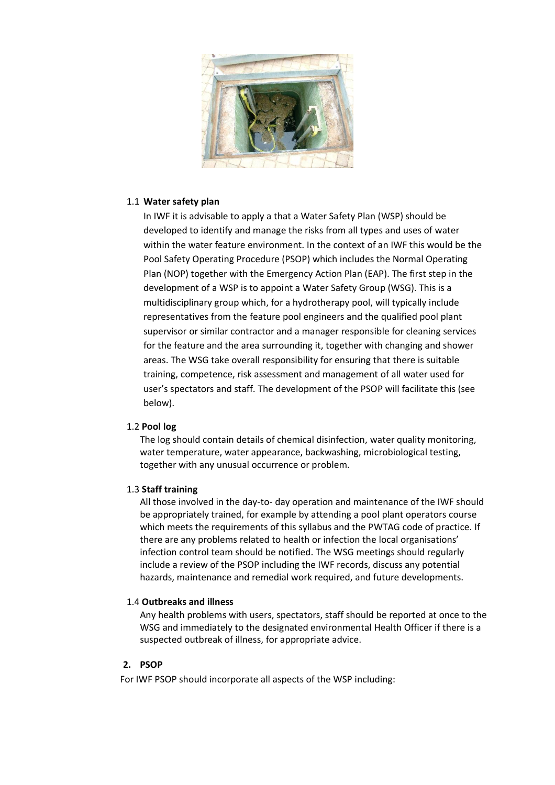

# 1.1 **Water safety plan**

In IWF it is advisable to apply a that a Water Safety Plan (WSP) should be developed to identify and manage the risks from all types and uses of water within the water feature environment. In the context of an IWF this would be the Pool Safety Operating Procedure (PSOP) which includes the Normal Operating Plan (NOP) together with the Emergency Action Plan (EAP). The first step in the development of a WSP is to appoint a Water Safety Group (WSG). This is a multidisciplinary group which, for a hydrotherapy pool, will typically include representatives from the feature pool engineers and the qualified pool plant supervisor or similar contractor and a manager responsible for cleaning services for the feature and the area surrounding it, together with changing and shower areas. The WSG take overall responsibility for ensuring that there is suitable training, competence, risk assessment and management of all water used for user's spectators and staff. The development of the PSOP will facilitate this (see below).

#### 1.2 **Pool log**

The log should contain details of chemical disinfection, water quality monitoring, water temperature, water appearance, backwashing, microbiological testing, together with any unusual occurrence or problem.

#### 1.3 **Staff training**

All those involved in the day-to- day operation and maintenance of the IWF should be appropriately trained, for example by attending a pool plant operators course which meets the requirements of this syllabus and the PWTAG code of practice. If there are any problems related to health or infection the local organisations' infection control team should be notified. The WSG meetings should regularly include a review of the PSOP including the IWF records, discuss any potential hazards, maintenance and remedial work required, and future developments.

#### 1.4 **Outbreaks and illness**

Any health problems with users, spectators, staff should be reported at once to the WSG and immediately to the designated environmental Health Officer if there is a suspected outbreak of illness, for appropriate advice.

#### **2. PSOP**

For IWF PSOP should incorporate all aspects of the WSP including: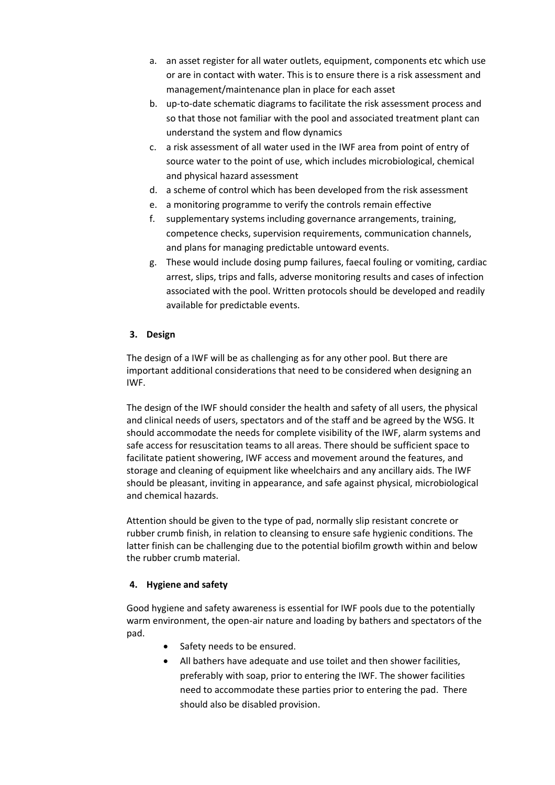- a. an asset register for all water outlets, equipment, components etc which use or are in contact with water. This is to ensure there is a risk assessment and management/maintenance plan in place for each asset
- b. up-to-date schematic diagrams to facilitate the risk assessment process and so that those not familiar with the pool and associated treatment plant can understand the system and flow dynamics
- c. a risk assessment of all water used in the IWF area from point of entry of source water to the point of use, which includes microbiological, chemical and physical hazard assessment
- d. a scheme of control which has been developed from the risk assessment
- e. a monitoring programme to verify the controls remain effective
- f. supplementary systems including governance arrangements, training, competence checks, supervision requirements, communication channels, and plans for managing predictable untoward events.
- g. These would include dosing pump failures, faecal fouling or vomiting, cardiac arrest, slips, trips and falls, adverse monitoring results and cases of infection associated with the pool. Written protocols should be developed and readily available for predictable events.

# **3. Design**

The design of a IWF will be as challenging as for any other pool. But there are important additional considerations that need to be considered when designing an IWF.

The design of the IWF should consider the health and safety of all users, the physical and clinical needs of users, spectators and of the staff and be agreed by the WSG. It should accommodate the needs for complete visibility of the IWF, alarm systems and safe access for resuscitation teams to all areas. There should be sufficient space to facilitate patient showering, IWF access and movement around the features, and storage and cleaning of equipment like wheelchairs and any ancillary aids. The IWF should be pleasant, inviting in appearance, and safe against physical, microbiological and chemical hazards.

Attention should be given to the type of pad, normally slip resistant concrete or rubber crumb finish, in relation to cleansing to ensure safe hygienic conditions. The latter finish can be challenging due to the potential biofilm growth within and below the rubber crumb material.

# **4. Hygiene and safety**

Good hygiene and safety awareness is essential for IWF pools due to the potentially warm environment, the open-air nature and loading by bathers and spectators of the pad.

- Safety needs to be ensured.
- All bathers have adequate and use toilet and then shower facilities, preferably with soap, prior to entering the IWF. The shower facilities need to accommodate these parties prior to entering the pad. There should also be disabled provision.